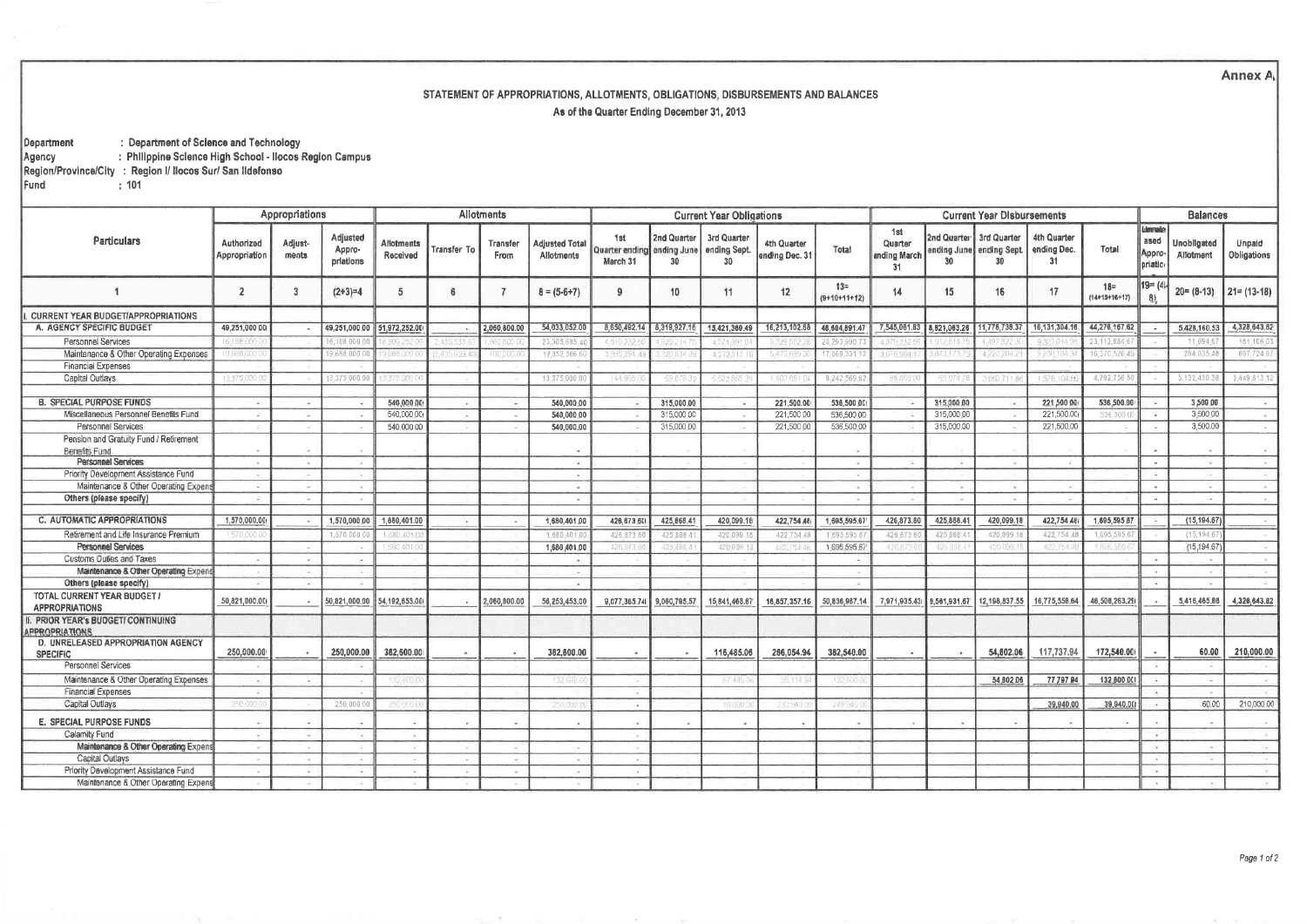**Annex A** 

## STATEMENT OF APPROPRIATIONS, ALLOTMENTS, OBLIGATIONS, DISBURSEMENTS AND BALANCES As of the Quarter Ending December 31, 2013

: Department of Science and Technology Department Agency : Philippine Science High School - Ilocos Region Campus Region/Province/City : Region I/ Ilocos Sur/ San Ildefonso  $: 101$ 

Fund

|                                                                 | Appropriations              |                  |                                 | Allotments                    |             |                         |                                     | <b>Current Year Obligations</b>               |                   |                                   |                               |                        | <b>Current Year Disbursements</b>    |              |                                                                         |                                  |                           |                                    | <b>Balances</b>          |                       |  |
|-----------------------------------------------------------------|-----------------------------|------------------|---------------------------------|-------------------------------|-------------|-------------------------|-------------------------------------|-----------------------------------------------|-------------------|-----------------------------------|-------------------------------|------------------------|--------------------------------------|--------------|-------------------------------------------------------------------------|----------------------------------|---------------------------|------------------------------------|--------------------------|-----------------------|--|
| Particulars                                                     | Authorized<br>Appropriation | Adjust-<br>ments | Adjusted<br>Appro-<br>priations | <b>Allotments</b><br>Received | Transfer To | <b>Transfer</b><br>From | <b>Adjusted Total</b><br>Allotments | 1st<br>Quarter ending ending June<br>March 31 | 2nd Quarter<br>30 | 3rd Quarter<br>ending Sept.<br>30 | 4th Quarter<br>ending Dec. 31 | Total                  | 1st<br>Quarter<br>ending March<br>31 | 30           | 2nd Quarter 3rd Quarter<br>ending June, ending Sept.<br>30 <sub>1</sub> | 4th Quarter<br>ending Dec.<br>31 | Total                     | Unreie<br>ased<br>Appro<br>priatio | Unobligated<br>Allotment | Unpaid<br>Obligations |  |
|                                                                 | $\overline{2}$              | 3                | $(2+3)=4$                       | 5                             | -6          |                         | $8 = (5-6+7)$                       | -9                                            | 10 <sup>°</sup>   | 11                                | 12                            | $13 =$<br>(9+10+11+12) | 14                                   | 15           | 16                                                                      | 17                               | $18 =$<br>$(14+15+16+17)$ | $19 = (4)$<br>$-81$                | $20 = (8-13)$            | $21 = (13-18)$        |  |
| <b>CURRENT YEAR BUDGET/APPROPRIATIONS</b>                       |                             |                  |                                 |                               |             |                         |                                     |                                               |                   |                                   |                               |                        |                                      |              |                                                                         |                                  |                           |                                    |                          |                       |  |
| A. AGENCY SPECIFIC BUDGET                                       | 49,251,000.00               |                  | 49,251,000.00                   | 51,972,252.00                 |             | 2,060,800.00            | 54,033,052.00                       | 8,650,492.14                                  | 8,319,927.16      | 15,421,369.49                     | 16,213,102.68                 | 48,604,891.47          | 7,545,061.83                         | 8,821,063.26 | 11,778,738.37                                                           | 16,131,304.16                    | 44,276,167.62             |                                    | 5,428,160.53             | 4,328,643.82          |  |
| <b>Personnel Services</b>                                       | 6.188.0                     |                  | 6,188,000                       |                               |             |                         | 23,305,685                          |                                               |                   |                                   |                               | 23.293.990             |                                      |              |                                                                         |                                  | 23.112.884                |                                    | 11,694.                  | 181.106.03            |  |
| Maintenance & Other Operating Expenses                          | 19.088.00                   |                  | 9,688,000                       | 388.00                        | 35.633.     | 00,00                   | 17,352,366                          | 3,995.294.4                                   | 320 834           | 4,272.518                         | 5 479 689 3                   | 17,068,331             | 076.911                              | 343.170      | +220.204                                                                | 230.184                          | 16,370,526.4              |                                    | 284.035                  | 697,724 67            |  |
| <b>Financial Expenses</b>                                       |                             |                  |                                 |                               |             |                         |                                     |                                               |                   |                                   |                               |                        |                                      |              |                                                                         |                                  |                           |                                    |                          |                       |  |
| <b>Capital Outlays</b>                                          | 13:375,000                  |                  | 3 375 000 0                     | 375.000 C                     |             |                         | 13,375,000                          | 144.965                                       | 69.878            | 6 623 865                         | (403,861                      | 8 242 569 6            | 88865                                | 65.074       | 3.060.711                                                               | 578,1043                         | 4,792,756                 |                                    | 5,132,430                | 3,449 813 12          |  |
|                                                                 |                             |                  |                                 |                               |             |                         |                                     |                                               |                   |                                   |                               |                        |                                      |              |                                                                         |                                  |                           |                                    |                          |                       |  |
| <b>B. SPECIAL PURPOSE FUNDS</b>                                 |                             |                  |                                 | 540,000.00                    |             |                         | 540,000.00                          | 19                                            | 315,000.00        |                                   | 221,500.00                    | 536,500.00             |                                      | 315,000.00   |                                                                         | 221,500.00                       | 536,500.00                |                                    | 3,500.00                 | $-40$                 |  |
| Miscellaneous Personnel Benefits Fund                           |                             |                  |                                 | 540,000.00                    | -           |                         | 540,000.00                          | -12                                           | 315,000 00        |                                   | 221,500 00                    | 536,500 00             |                                      | 315,000.00   |                                                                         | 221,500.00                       | 536,800.                  |                                    | 3,500.00                 | TA 11                 |  |
| Personnel Services                                              |                             |                  |                                 | 540,000.00                    |             |                         | 540,000.00                          | 72                                            | 315,000.00        |                                   | 221,500.00                    | 536,500.00             |                                      | 315,000.00   |                                                                         | 221,500.00                       |                           |                                    | 3,500.00                 | $\sim$                |  |
| Pension and Gratuity Fund / Retirement                          |                             |                  |                                 |                               |             |                         |                                     |                                               |                   |                                   |                               |                        |                                      |              |                                                                         |                                  |                           |                                    |                          |                       |  |
| Benefits Fund                                                   |                             |                  |                                 |                               |             |                         |                                     |                                               |                   |                                   |                               |                        |                                      |              |                                                                         |                                  |                           |                                    |                          | $-2$                  |  |
| <b>Personnel Services</b>                                       |                             |                  |                                 |                               |             |                         | <b>College</b>                      |                                               |                   |                                   |                               |                        |                                      |              |                                                                         | $\rightarrow$                    |                           |                                    |                          | $-4.1$                |  |
| Priority Development Assistance Fund                            |                             |                  | $\sim$                          |                               |             |                         | 14                                  |                                               |                   |                                   |                               |                        |                                      |              |                                                                         |                                  |                           |                                    |                          | COST.                 |  |
| Maintenance & Other Operating Expens<br>Others (please specify) |                             |                  | $\sim$                          |                               |             |                         | in a                                |                                               |                   |                                   |                               |                        |                                      |              |                                                                         |                                  |                           |                                    |                          | Se S                  |  |
|                                                                 |                             |                  |                                 |                               |             |                         |                                     |                                               |                   |                                   |                               |                        |                                      |              |                                                                         |                                  |                           |                                    |                          | Card C                |  |
| C. AUTOMATIC APPROPRIATIONS                                     | 1,570,000.00                |                  | 1,570,000.00                    | 1.680,401.00                  |             |                         | 1,680,401.00                        | 426, 873, 60                                  | 425,868.4         | 420,099.1                         | 422.754.48                    | 1.695.595.67           | 426,873.60                           | 425,868.41   | 420,099.1                                                               | 422,754.48                       | 1,695,595.87              |                                    | (15, 194.67)             | Self-                 |  |
| Retirement and Life Insurance Premium                           | 1.570.000                   |                  | 1,570,000                       | 490,403.0                     |             |                         | 1.680.401                           | 426.873                                       | 425.868.4         | 420.099                           | 422,754.4                     | 1.695.595              | 426.873                              | 425.868      | 420,099.1                                                               | 422,754.4                        | 1,695.595.6               |                                    | (15, 194.6)              |                       |  |
| <b>Personnel Services</b>                                       |                             |                  |                                 | SBO 401.                      |             |                         | 1,680,401.00                        | 426.873.                                      | 425.868.4         | 420 049                           | 422.7544                      | 1,695 595.67           | 426,873                              | 425,888      | 420,095                                                                 | 422,7541                         | 1706550                   |                                    | (15, 194.67)             |                       |  |
| <b>Customs Dubes and Taxes</b>                                  |                             |                  | 140                             |                               |             |                         |                                     |                                               |                   |                                   |                               |                        |                                      |              |                                                                         |                                  |                           |                                    |                          | (1, 0)                |  |
| Maintenance & Other Operating Expens                            |                             |                  |                                 |                               |             |                         | <b>COL</b>                          |                                               |                   |                                   |                               |                        |                                      |              |                                                                         |                                  |                           |                                    |                          | <b>Card Corporate</b> |  |
| Others (please specify)                                         |                             |                  |                                 |                               |             |                         | <b>Fall</b>                         |                                               |                   |                                   |                               |                        |                                      |              |                                                                         |                                  |                           |                                    |                          | $\sim$                |  |
| TOTAL CURRENT YEAR BUDGET /<br><b>APPROPRIATIONS</b>            | 50,821,000.00               |                  |                                 | 50,821,000.00 54,192,653.00   |             | 2,060,800.00            | 56.253,453.00                       | 9,077,365.74                                  | 9,060,795.57      | 15,841,468.67                     | 16,857,357.16                 | 50,836,987.14          | 7,971,935.43                         | 9,561,931.67 | 12,198,837.55                                                           | 16,775,558,64                    | 46,508,263.29             |                                    | 5,416,465.66             | 4,326,643.82          |  |
| PRIOR YEAR's BUDGET/ CONTINUING<br><b>IPPROPRIATIONS</b>        |                             |                  |                                 |                               |             |                         |                                     |                                               |                   |                                   |                               |                        |                                      |              |                                                                         |                                  |                           |                                    |                          |                       |  |
| D. UNRELEASED APPROPRIATION AGENCY<br><b>SPECIFIC</b>           | 250,000.00                  |                  | 250,000.00                      | 382.600.00                    |             |                         | 382,600.00                          | $\bullet$                                     |                   | 116,485.06                        | 266.054.94                    | 382.540.00             |                                      |              | 54,802.06                                                               | 117,737.94                       | 172,540.00                |                                    | 60.00                    | 210,000.00            |  |
| Personnel Services                                              |                             |                  |                                 |                               |             |                         |                                     |                                               |                   |                                   |                               |                        |                                      |              |                                                                         |                                  |                           |                                    |                          |                       |  |
| Maintenance & Other Operating Expenses                          |                             |                  |                                 | 52.0UL                        |             |                         | 132.60                              |                                               |                   | <b>S7.485</b>                     | 进口社                           | 132.50                 |                                      |              | 54,802.06                                                               | 77,797.94                        | 132,800.00                |                                    |                          |                       |  |
| <b>Financial Expenses</b>                                       |                             |                  |                                 |                               |             |                         |                                     | $\overline{a}$                                |                   |                                   |                               |                        |                                      |              |                                                                         |                                  |                           |                                    |                          |                       |  |
| Capital Outlays                                                 | 250,000                     |                  | 250,000.0                       |                               |             |                         | 250.00                              | $\sim$                                        |                   | Tři Info                          | call the                      | 729.94                 |                                      |              |                                                                         | 39,940.00                        | 39,940.00                 |                                    | 60.00                    | 210,000,00            |  |
| E. SPECIAL PURPOSE FUNDS                                        |                             |                  |                                 |                               | $\sim$      |                         |                                     | $\sim$                                        |                   |                                   | $\sim$                        |                        |                                      |              |                                                                         |                                  |                           |                                    |                          | 14.15                 |  |
| Calamity Fund                                                   |                             |                  |                                 |                               |             |                         |                                     |                                               |                   |                                   |                               |                        |                                      |              |                                                                         |                                  |                           |                                    |                          |                       |  |
| Maintenance & Other Operating Expen-                            |                             |                  |                                 |                               |             |                         |                                     | 194                                           |                   |                                   |                               |                        |                                      |              |                                                                         |                                  |                           |                                    |                          |                       |  |
| Capital Outlays                                                 |                             |                  |                                 |                               |             |                         |                                     | 1.00                                          |                   |                                   |                               |                        |                                      |              |                                                                         |                                  |                           |                                    |                          |                       |  |
| Priority Development Assistance Fund                            |                             |                  |                                 |                               |             |                         |                                     | 100                                           |                   |                                   |                               |                        |                                      |              |                                                                         |                                  |                           |                                    |                          |                       |  |
| Maintenance & Other Operating Expens                            |                             |                  |                                 |                               |             |                         |                                     |                                               |                   |                                   |                               |                        |                                      |              |                                                                         |                                  |                           |                                    |                          |                       |  |